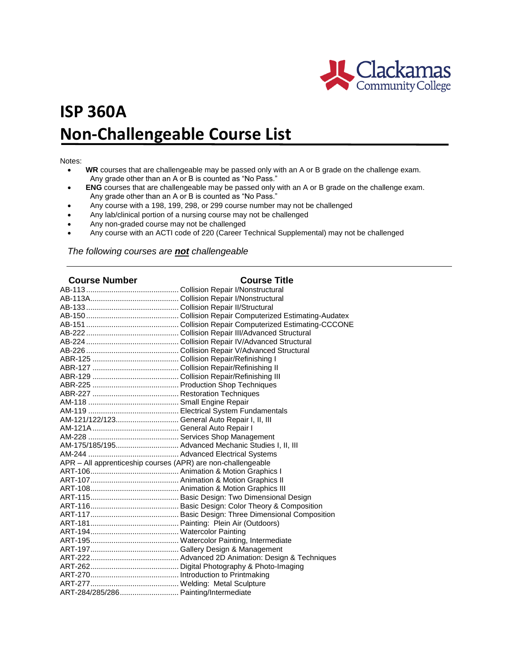

## **ISP 360A Non-Challengeable Course List**

## Notes:

- **WR** courses that are challengeable may be passed only with an A or B grade on the challenge exam. Any grade other than an A or B is counted as "No Pass."
- **ENG** courses that are challengeable may be passed only with an A or B grade on the challenge exam. Any grade other than an A or B is counted as "No Pass."
- Any course with a 198, 199, 298, or 299 course number may not be challenged
- Any lab/clinical portion of a nursing course may not be challenged
- Any non-graded course may not be challenged
- Any course with an ACTI code of 220 (Career Technical Supplemental) may not be challenged

*The following courses are not challengeable*

| <b>Course Number</b>                                         | <b>Course Title</b>                                 |
|--------------------------------------------------------------|-----------------------------------------------------|
|                                                              |                                                     |
|                                                              |                                                     |
|                                                              |                                                     |
|                                                              |                                                     |
|                                                              |                                                     |
|                                                              |                                                     |
|                                                              |                                                     |
|                                                              |                                                     |
|                                                              |                                                     |
|                                                              |                                                     |
|                                                              |                                                     |
|                                                              |                                                     |
|                                                              |                                                     |
|                                                              |                                                     |
|                                                              |                                                     |
|                                                              |                                                     |
|                                                              |                                                     |
|                                                              |                                                     |
|                                                              |                                                     |
|                                                              | AM-175/185/195 Advanced Mechanic Studies I, II, III |
|                                                              |                                                     |
| APR - All apprenticeship courses (APR) are non-challengeable |                                                     |
|                                                              |                                                     |
|                                                              |                                                     |
|                                                              |                                                     |
|                                                              |                                                     |
|                                                              |                                                     |
|                                                              |                                                     |
|                                                              |                                                     |
|                                                              |                                                     |
|                                                              |                                                     |
|                                                              |                                                     |
|                                                              |                                                     |
|                                                              |                                                     |
|                                                              |                                                     |
|                                                              |                                                     |
| ART-284/285/286 Painting/Intermediate                        |                                                     |
|                                                              |                                                     |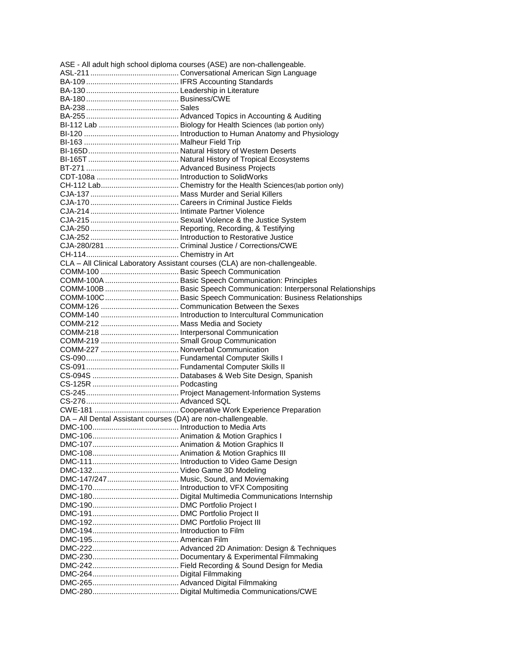| ASE - All adult high school diploma courses (ASE) are non-challengeable. |                                                                              |  |
|--------------------------------------------------------------------------|------------------------------------------------------------------------------|--|
|                                                                          |                                                                              |  |
|                                                                          |                                                                              |  |
|                                                                          |                                                                              |  |
|                                                                          |                                                                              |  |
|                                                                          |                                                                              |  |
|                                                                          |                                                                              |  |
|                                                                          |                                                                              |  |
|                                                                          |                                                                              |  |
|                                                                          |                                                                              |  |
|                                                                          |                                                                              |  |
|                                                                          |                                                                              |  |
|                                                                          |                                                                              |  |
|                                                                          |                                                                              |  |
|                                                                          |                                                                              |  |
|                                                                          |                                                                              |  |
|                                                                          |                                                                              |  |
|                                                                          |                                                                              |  |
|                                                                          |                                                                              |  |
|                                                                          |                                                                              |  |
|                                                                          |                                                                              |  |
|                                                                          |                                                                              |  |
|                                                                          |                                                                              |  |
|                                                                          | CLA - All Clinical Laboratory Assistant courses (CLA) are non-challengeable. |  |
|                                                                          |                                                                              |  |
|                                                                          |                                                                              |  |
|                                                                          |                                                                              |  |
|                                                                          |                                                                              |  |
|                                                                          |                                                                              |  |
|                                                                          |                                                                              |  |
|                                                                          |                                                                              |  |
|                                                                          |                                                                              |  |
|                                                                          |                                                                              |  |
|                                                                          |                                                                              |  |
|                                                                          |                                                                              |  |
|                                                                          |                                                                              |  |
|                                                                          |                                                                              |  |
|                                                                          |                                                                              |  |
|                                                                          |                                                                              |  |
|                                                                          |                                                                              |  |
|                                                                          |                                                                              |  |
|                                                                          |                                                                              |  |
| DA - All Dental Assistant courses (DA) are non-challengeable.            |                                                                              |  |
|                                                                          |                                                                              |  |
|                                                                          |                                                                              |  |
|                                                                          |                                                                              |  |
|                                                                          |                                                                              |  |
|                                                                          |                                                                              |  |
|                                                                          |                                                                              |  |
|                                                                          |                                                                              |  |
|                                                                          |                                                                              |  |
|                                                                          |                                                                              |  |
|                                                                          |                                                                              |  |
|                                                                          |                                                                              |  |
|                                                                          |                                                                              |  |
|                                                                          |                                                                              |  |
|                                                                          |                                                                              |  |
|                                                                          |                                                                              |  |
|                                                                          |                                                                              |  |
|                                                                          |                                                                              |  |
|                                                                          |                                                                              |  |
|                                                                          |                                                                              |  |
|                                                                          |                                                                              |  |
|                                                                          |                                                                              |  |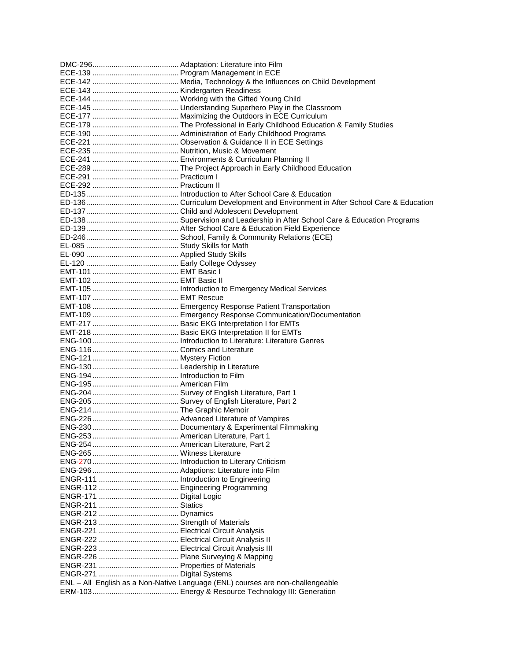| ENL - All English as a Non-Native Language (ENL) courses are non-challengeable |
|--------------------------------------------------------------------------------|
|                                                                                |
|                                                                                |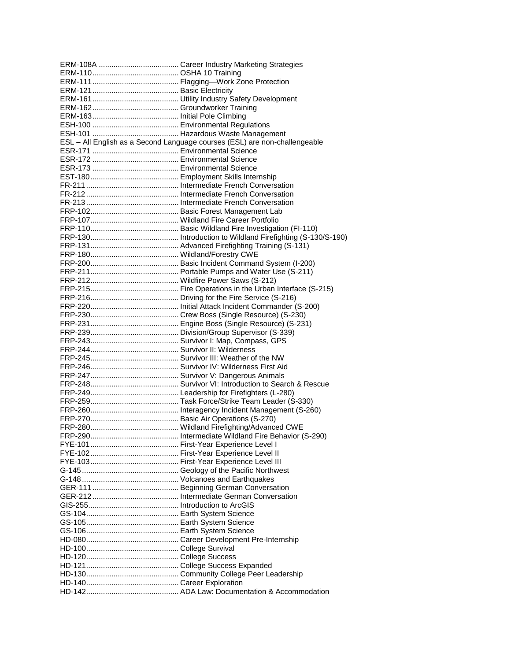| ESL - All English as a Second Language courses (ESL) are non-challengeable |
|----------------------------------------------------------------------------|
|                                                                            |
|                                                                            |
|                                                                            |
|                                                                            |
|                                                                            |
|                                                                            |
|                                                                            |
|                                                                            |
|                                                                            |
|                                                                            |
|                                                                            |
|                                                                            |
|                                                                            |
|                                                                            |
|                                                                            |
|                                                                            |
|                                                                            |
|                                                                            |
|                                                                            |
|                                                                            |
|                                                                            |
|                                                                            |
|                                                                            |
|                                                                            |
|                                                                            |
|                                                                            |
|                                                                            |
|                                                                            |
|                                                                            |
|                                                                            |
|                                                                            |
|                                                                            |
|                                                                            |
|                                                                            |
|                                                                            |
|                                                                            |
|                                                                            |
|                                                                            |
|                                                                            |
|                                                                            |
|                                                                            |
|                                                                            |
|                                                                            |
|                                                                            |
|                                                                            |
|                                                                            |
|                                                                            |
|                                                                            |
|                                                                            |
|                                                                            |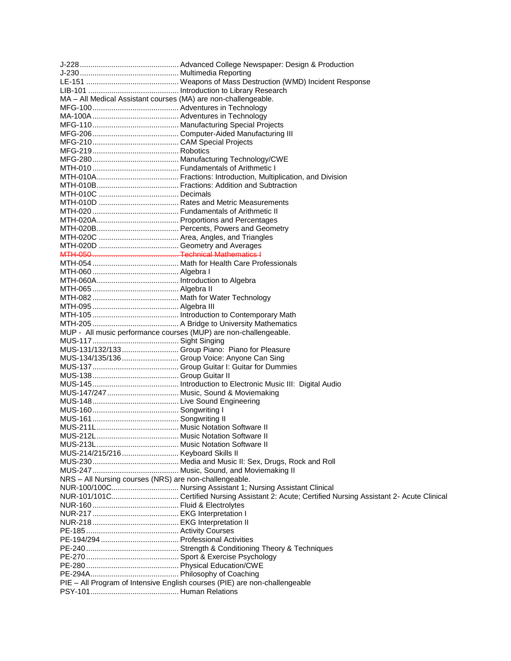| MA - All Medical Assistant courses (MA) are non-challengeable.             |  |
|----------------------------------------------------------------------------|--|
|                                                                            |  |
|                                                                            |  |
|                                                                            |  |
|                                                                            |  |
|                                                                            |  |
|                                                                            |  |
|                                                                            |  |
|                                                                            |  |
|                                                                            |  |
|                                                                            |  |
|                                                                            |  |
|                                                                            |  |
|                                                                            |  |
|                                                                            |  |
|                                                                            |  |
|                                                                            |  |
|                                                                            |  |
|                                                                            |  |
|                                                                            |  |
|                                                                            |  |
|                                                                            |  |
|                                                                            |  |
|                                                                            |  |
|                                                                            |  |
|                                                                            |  |
|                                                                            |  |
| MUP - All music performance courses (MUP) are non-challengeable.           |  |
|                                                                            |  |
| MUS-131/132/133  Group Piano: Piano for Pleasure                           |  |
| MUS-134/135/136  Group Voice: Anyone Can Sing                              |  |
|                                                                            |  |
|                                                                            |  |
|                                                                            |  |
| MUS-147/247  Music, Sound & Moviemaking                                    |  |
|                                                                            |  |
|                                                                            |  |
|                                                                            |  |
|                                                                            |  |
|                                                                            |  |
|                                                                            |  |
| MUS-214/215/216  Keyboard Skills II                                        |  |
|                                                                            |  |
|                                                                            |  |
| NRS - All Nursing courses (NRS) are non-challengeable.                     |  |
|                                                                            |  |
|                                                                            |  |
|                                                                            |  |
|                                                                            |  |
|                                                                            |  |
|                                                                            |  |
|                                                                            |  |
|                                                                            |  |
|                                                                            |  |
|                                                                            |  |
|                                                                            |  |
| PIE - All Program of Intensive English courses (PIE) are non-challengeable |  |
|                                                                            |  |
|                                                                            |  |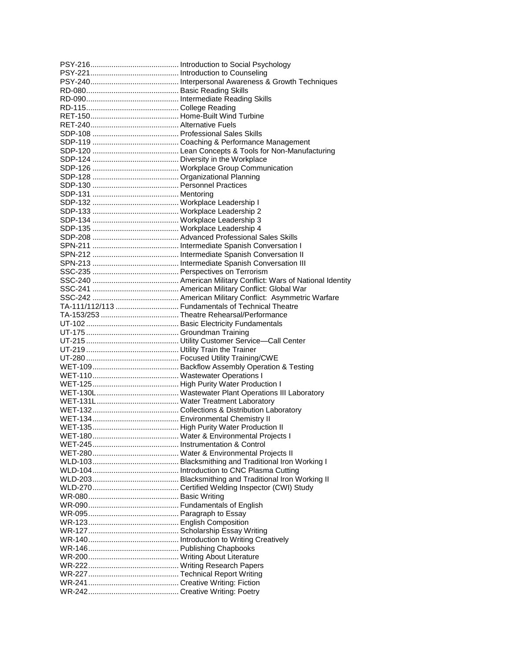| TA-111/112/113  Fundamentals of Technical Theatre |
|---------------------------------------------------|
|                                                   |
|                                                   |
|                                                   |
|                                                   |
|                                                   |
|                                                   |
|                                                   |
|                                                   |
|                                                   |
|                                                   |
|                                                   |
|                                                   |
|                                                   |
|                                                   |
|                                                   |
|                                                   |
|                                                   |
|                                                   |
|                                                   |
|                                                   |
|                                                   |
|                                                   |
|                                                   |
|                                                   |
|                                                   |
|                                                   |
|                                                   |
|                                                   |
|                                                   |
|                                                   |
|                                                   |
|                                                   |
|                                                   |
|                                                   |
|                                                   |
|                                                   |